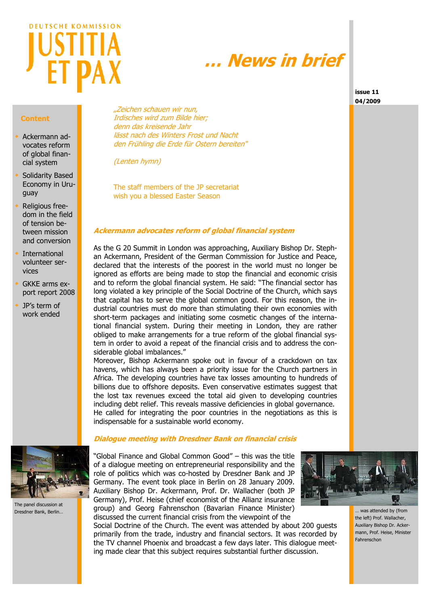# **DEUTSCHE KOMMISSION**

# **… News in brief**

**issue 11 04/2009**

### **Content**

- Ackermann advocates reform of global financial system
- Solidarity Based Economy in Uruguay
- Religious freedom in the field of tension between mission and conversion
- International volunteer services
- GKKE arms export report 2008
- JP's term of work ended



(Lenten hymn)

The staff members of the JP secretariat wish you a blessed Easter Season

# **Ackermann advocates reform of global financial system**

As the G 20 Summit in London was approaching, Auxiliary Bishop Dr. Stephan Ackermann, President of the German Commission for Justice and Peace, declared that the interests of the poorest in the world must no longer be ignored as efforts are being made to stop the financial and economic crisis and to reform the global financial system. He said: "The financial sector has long violated a key principle of the Social Doctrine of the Church, which says that capital has to serve the global common good. For this reason, the industrial countries must do more than stimulating their own economies with short-term packages and initiating some cosmetic changes of the international financial system. During their meeting in London, they are rather obliged to make arrangements for a true reform of the global financial system in order to avoid a repeat of the financial crisis and to address the considerable global imbalances."

Moreover, Bishop Ackermann spoke out in favour of a crackdown on tax havens, which has always been a priority issue for the Church partners in Africa. The developing countries have tax losses amounting to hundreds of billions due to offshore deposits. Even conservative estimates suggest that the lost tax revenues exceed the total aid given to developing countries including debt relief. This reveals massive deficiencies in global governance. He called for integrating the poor countries in the negotiations as this is indispensable for a sustainable world economy.



The panel discussion at Dresdner Bank, Berlin…

### **Dialogue meeting with Dresdner Bank on financial crisis**

"Global Finance and Global Common Good" – this was the title of a dialogue meeting on entrepreneurial responsibility and the role of politics which was co-hosted by Dresdner Bank and JP Germany. The event took place in Berlin on 28 January 2009. Auxiliary Bishop Dr. Ackermann, Prof. Dr. Wallacher (both JP Germany), Prof. Heise (chief economist of the Allianz insurance group) and Georg Fahrenschon (Bavarian Finance Minister) discussed the current financial crisis from the viewpoint of the



Social Doctrine of the Church. The event was attended by about 200 guests primarily from the trade, industry and financial sectors. It was recorded by the TV channel Phoenix and broadcast a few days later. This dialogue meeting made clear that this subject requires substantial further discussion.

… was attended by (from the left) Prof. Wallacher, Auxiliary Bishop Dr. Ackermann, Prof. Heise, Minister Fahrenschon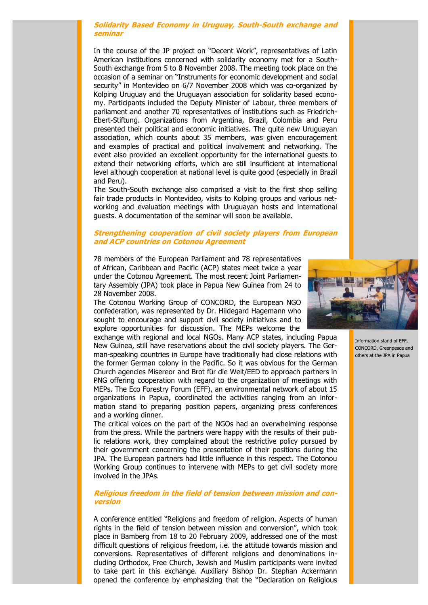### **Solidarity Based Economy in Uruguay, South-South exchange and seminar**

In the course of the JP project on "Decent Work", representatives of Latin American institutions concerned with solidarity economy met for a South-South exchange from 5 to 8 November 2008. The meeting took place on the occasion of a seminar on "Instruments for economic development and social security" in Montevideo on 6/7 November 2008 which was co-organized by Kolping Uruguay and the Uruguayan association for solidarity based economy. Participants included the Deputy Minister of Labour, three members of parliament and another 70 representatives of institutions such as Friedrich-Ebert-Stiftung. Organizations from Argentina, Brazil, Colombia and Peru presented their political and economic initiatives. The quite new Uruguayan association, which counts about 35 members, was given encouragement and examples of practical and political involvement and networking. The event also provided an excellent opportunity for the international guests to extend their networking efforts, which are still insufficient at international level although cooperation at national level is quite good (especially in Brazil and Peru).

The South-South exchange also comprised a visit to the first shop selling fair trade products in Montevideo, visits to Kolping groups and various networking and evaluation meetings with Uruguayan hosts and international guests. A documentation of the seminar will soon be available.

### **Strengthening cooperation of civil society players from European and ACP countries on Cotonou Agreement**

78 members of the European Parliament and 78 representatives of African, Caribbean and Pacific (ACP) states meet twice a year under the Cotonou Agreement. The most recent Joint Parliamentary Assembly (JPA) took place in Papua New Guinea from 24 to 28 November 2008.

The Cotonou Working Group of CONCORD, the European NGO confederation, was represented by Dr. Hildegard Hagemann who sought to encourage and support civil society initiatives and to explore opportunities for discussion. The MEPs welcome the

exchange with regional and local NGOs. Many ACP states, including Papua New Guinea, still have reservations about the civil society players. The German-speaking countries in Europe have traditionally had close relations with the former German colony in the Pacific. So it was obvious for the German Church agencies Misereor and Brot für die Welt/EED to approach partners in PNG offering cooperation with regard to the organization of meetings with MEPs. The Eco Forestry Forum (EFF), an environmental network of about 15 organizations in Papua, coordinated the activities ranging from an information stand to preparing position papers, organizing press conferences and a working dinner.

The critical voices on the part of the NGOs had an overwhelming response from the press. While the partners were happy with the results of their public relations work, they complained about the restrictive policy pursued by their government concerning the presentation of their positions during the JPA. The European partners had little influence in this respect. The Cotonou Working Group continues to intervene with MEPs to get civil society more involved in the JPAs.

### **Religious freedom in the field of tension between mission and conversion**

A conference entitled "Religions and freedom of religion. Aspects of human rights in the field of tension between mission and conversion", which took place in Bamberg from 18 to 20 February 2009, addressed one of the most difficult questions of religious freedom, i.e. the attitude towards mission and conversions. Representatives of different religions and denominations including Orthodox, Free Church, Jewish and Muslim participants were invited to take part in this exchange. Auxiliary Bishop Dr. Stephan Ackermann opened the conference by emphasizing that the "Declaration on Religious



Information stand of EFF, CONCORD, Greenpeace and others at the JPA in Papua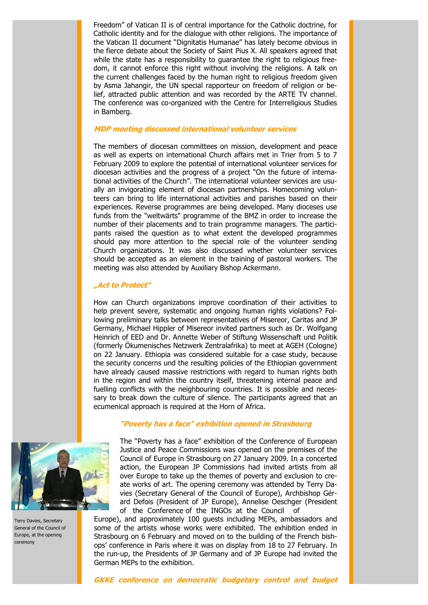Freedom" of Vatican II is of central importance for the Catholic doctrine, for Catholic identity and for the dialogue with other religions. The importance of the Vatican II document "Dignitatis Humanae" has lately become obvious in the fierce debate about the Society of Saint Pius X. All speakers agreed that while the state has a responsibility to guarantee the right to religious freedom, it cannot enforce this right without involving the religions. A talk on the current challenges faced by the human right to religious freedom given by Asma Jahangir, the UN special rapporteur on freedom of religion or belief, attracted public attention and was recorded by the ARTE TV channel. The conference was co-organized with the Centre for Interreligious Studies in Bamberg.

### **MDP meeting discussed international volunteer services**

The members of diocesan committees on mission, development and peace as well as experts on international Church affairs met in Trier from 5 to 7 February 2009 to explore the potential of international volunteer services for diocesan activities and the progress of a project "On the future of international activities of the Church". The international volunteer services are usually an invigorating element of diocesan partnerships. Homecoming volunteers can bring to life international activities and parishes based on their experiences. Reverse programmes are being developed. Many dioceses use funds from the "weltwärts" programme of the BMZ in order to increase the number of their placements and to train programme managers. The participants raised the question as to what extent the developed programmes should pay more attention to the special role of the volunteer sending Church organizations. It was also discussed whether volunteer services should be accepted as an element in the training of pastoral workers. The meeting was also attended by Auxiliary Bishop Ackermann.

### **"Act to Protect"**

How can Church organizations improve coordination of their activities to help prevent severe, systematic and ongoing human rights violations? Following preliminary talks between representatives of Misereor, Caritas and JP Germany, Michael Hippler of Misereor invited partners such as Dr. Wolfgang Heinrich of EED and Dr. Annette Weber of Stiftung Wissenschaft und Politik (formerly Ökumenisches Netzwerk Zentralafrika) to meet at AGEH (Cologne) on 22 January. Ethiopia was considered suitable for a case study, because the security concerns und the resulting policies of the Ethiopian government have already caused massive restrictions with regard to human rights both in the region and within the country itself, threatening internal peace and fuelling conflicts with the neighbouring countries. It is possible and necessary to break down the culture of silence. The participants agreed that an ecumenical approach is required at the Horn of Africa.

### **"Poverty has a face" exhibition opened in Strasbourg**



Terry Davies, Secretary General of the Council of Europe, at the opening ceremony

The "Poverty has a face" exhibition of the Conference of European Justice and Peace Commissions was opened on the premises of the Council of Europe in Strasbourg on 27 January 2009. In a concerted action, the European JP Commissions had invited artists from all over Europe to take up the themes of poverty and exclusion to create works of art. The opening ceremony was attended by Terry Davies (Secretary General of the Council of Europe), Archbishop Gérard Defois (President of JP Europe), Annelise Oeschger (President of the Conference of the INGOs at the Council of

Europe), and approximately 100 guests including MEPs, ambassadors and some of the artists whose works were exhibited. The exhibition ended in Strasbourg on 6 February and moved on to the building of the French bishops' conference in Paris where it was on display from 18 to 27 February. In the run-up, the Presidents of JP Germany and of JP Europe had invited the German MEPs to the exhibition.

**GKKE conference on democratic budgetary control and budget**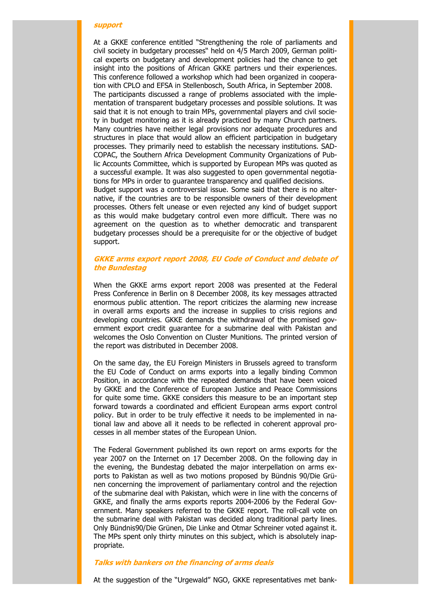### **support**

At a GKKE conference entitled "Strengthening the role of parliaments and civil society in budgetary processes" held on 4/5 March 2009, German political experts on budgetary and development policies had the chance to get insight into the positions of African GKKE partners und their experiences. This conference followed a workshop which had been organized in cooperation with CPLO and EFSA in Stellenbosch, South Africa, in September 2008. The participants discussed a range of problems associated with the implementation of transparent budgetary processes and possible solutions. It was said that it is not enough to train MPs, governmental players and civil society in budget monitoring as it is already practiced by many Church partners. Many countries have neither legal provisions nor adequate procedures and structures in place that would allow an efficient participation in budgetary processes. They primarily need to establish the necessary institutions. SAD-COPAC, the Southern Africa Development Community Organizations of Public Accounts Committee, which is supported by European MPs was quoted as a successful example. It was also suggested to open governmental negotiations for MPs in order to guarantee transparency and qualified decisions. Budget support was a controversial issue. Some said that there is no alternative, if the countries are to be responsible owners of their development processes. Others felt unease or even rejected any kind of budget support as this would make budgetary control even more difficult. There was no agreement on the question as to whether democratic and transparent budgetary processes should be a prerequisite for or the objective of budget support.

# **GKKE arms export report 2008, EU Code of Conduct and debate of the Bundestag**

When the GKKE arms export report 2008 was presented at the Federal Press Conference in Berlin on 8 December 2008, its key messages attracted enormous public attention. The report criticizes the alarming new increase in overall arms exports and the increase in supplies to crisis regions and developing countries. GKKE demands the withdrawal of the promised government export credit guarantee for a submarine deal with Pakistan and welcomes the Oslo Convention on Cluster Munitions. The printed version of the report was distributed in December 2008.

On the same day, the EU Foreign Ministers in Brussels agreed to transform the EU Code of Conduct on arms exports into a legally binding Common Position, in accordance with the repeated demands that have been voiced by GKKE and the Conference of European Justice and Peace Commissions for quite some time. GKKE considers this measure to be an important step forward towards a coordinated and efficient European arms export control policy. But in order to be truly effective it needs to be implemented in national law and above all it needs to be reflected in coherent approval processes in all member states of the European Union.

The Federal Government published its own report on arms exports for the year 2007 on the Internet on 17 December 2008. On the following day in the evening, the Bundestag debated the major interpellation on arms exports to Pakistan as well as two motions proposed by Bündnis 90/Die Grünen concerning the improvement of parliamentary control and the rejection of the submarine deal with Pakistan, which were in line with the concerns of GKKE, and finally the arms exports reports 2004-2006 by the Federal Government. Many speakers referred to the GKKE report. The roll-call vote on the submarine deal with Pakistan was decided along traditional party lines. Only Bündnis90/Die Grünen, Die Linke and Otmar Schreiner voted against it. The MPs spent only thirty minutes on this subject, which is absolutely inappropriate.

### **Talks with bankers on the financing of arms deals**

At the suggestion of the "Urgewald" NGO, GKKE representatives met bank-